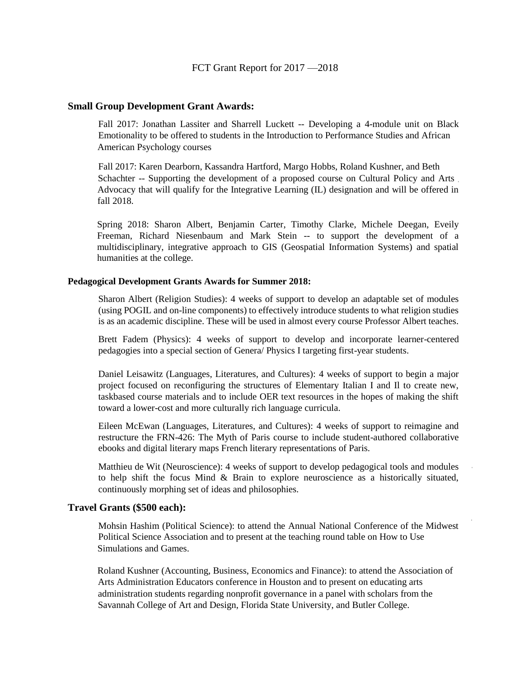## **Small Group Development Grant Awards:**

Fall 2017: Jonathan Lassiter and Sharrell Luckett -- Developing a 4-module unit on Black Emotionality to be offered to students in the Introduction to Performance Studies and African American Psychology courses

Fall 2017: Karen Dearborn, Kassandra Hartford, Margo Hobbs, Roland Kushner, and Beth Schachter -- Supporting the development of a proposed course on Cultural Policy and Arts. Advocacy that will qualify for the Integrative Learning (IL) designation and will be offered in fall 2018.

Spring 2018: Sharon Albert, Benjamin Carter, Timothy Clarke, Michele Deegan, Eveily Freeman, Richard Niesenbaum and Mark Stein -- to support the development of a multidisciplinary, integrative approach to GIS (Geospatial Information Systems) and spatial humanities at the college.

## **Pedagogical Development Grants Awards for Summer 2018:**

Sharon Albert (Religion Studies): 4 weeks of support to develop an adaptable set of modules (using POGIL and on-line components) to effectively introduce students to what religion studies is as an academic discipline. These will be used in almost every course Professor Albert teaches.

Brett Fadem (Physics): 4 weeks of support to develop and incorporate learner-centered pedagogies into a special section of Genera/ Physics I targeting first-year students.

Daniel Leisawitz (Languages, Literatures, and Cultures): 4 weeks of support to begin a major project focused on reconfiguring the structures of Elementary Italian I and Il to create new, taskbased course materials and to include OER text resources in the hopes of making the shift toward a lower-cost and more culturally rich language curricula.

Eileen McEwan (Languages, Literatures, and Cultures): 4 weeks of support to reimagine and restructure the FRN-426: The Myth of Paris course to include student-authored collaborative ebooks and digital literary maps French literary representations of Paris.

Matthieu de Wit (Neuroscience): 4 weeks of support to develop pedagogical tools and modules to help shift the focus Mind & Brain to explore neuroscience as a historically situated, continuously morphing set of ideas and philosophies.

## **Travel Grants (\$500 each):**

Mohsin Hashim (Political Science): to attend the Annual National Conference of the Midwest Political Science Association and to present at the teaching round table on How to Use Simulations and Games.

Roland Kushner (Accounting, Business, Economics and Finance): to attend the Association of Arts Administration Educators conference in Houston and to present on educating arts administration students regarding nonprofit governance in a panel with scholars from the Savannah College of Art and Design, Florida State University, and Butler College.